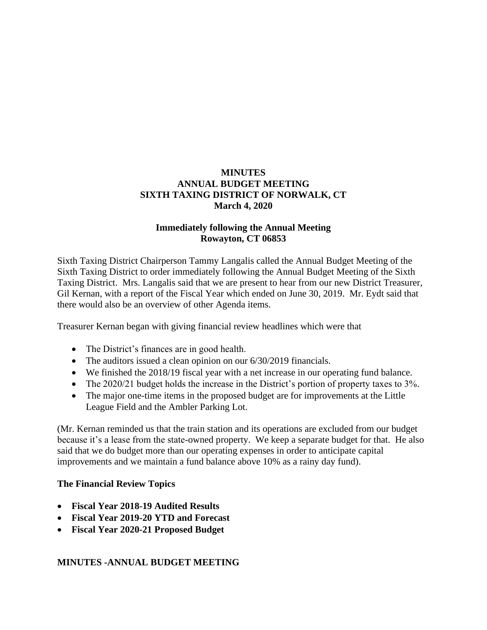# **MINUTES ANNUAL BUDGET MEETING SIXTH TAXING DISTRICT OF NORWALK, CT March 4, 2020**

## **Immediately following the Annual Meeting Rowayton, CT 06853**

Sixth Taxing District Chairperson Tammy Langalis called the Annual Budget Meeting of the Sixth Taxing District to order immediately following the Annual Budget Meeting of the Sixth Taxing District. Mrs. Langalis said that we are present to hear from our new District Treasurer, Gil Kernan, with a report of the Fiscal Year which ended on June 30, 2019. Mr. Eydt said that there would also be an overview of other Agenda items.

Treasurer Kernan began with giving financial review headlines which were that

- The District's finances are in good health.
- The auditors issued a clean opinion on our  $6/30/2019$  financials.
- We finished the 2018/19 fiscal year with a net increase in our operating fund balance.
- The 2020/21 budget holds the increase in the District's portion of property taxes to 3%.
- The major one-time items in the proposed budget are for improvements at the Little League Field and the Ambler Parking Lot.

(Mr. Kernan reminded us that the train station and its operations are excluded from our budget because it's a lease from the state-owned property. We keep a separate budget for that. He also said that we do budget more than our operating expenses in order to anticipate capital improvements and we maintain a fund balance above 10% as a rainy day fund).

## **The Financial Review Topics**

- **Fiscal Year 2018-19 Audited Results**
- **Fiscal Year 2019-20 YTD and Forecast**
- **Fiscal Year 2020-21 Proposed Budget**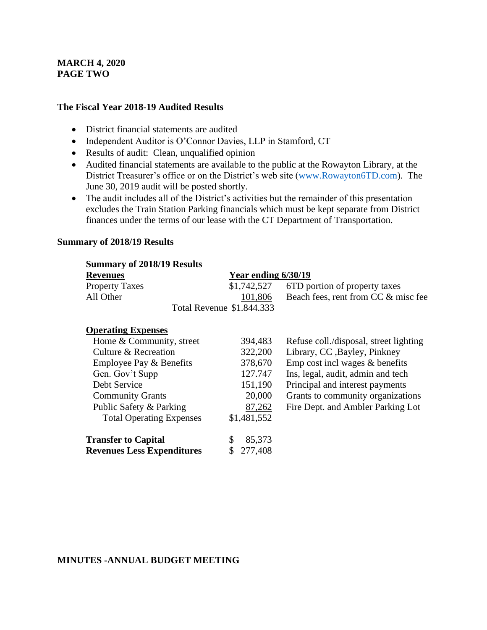## **MARCH 4, 2020 PAGE TWO**

#### **The Fiscal Year 2018-19 Audited Results**

- District financial statements are audited
- Independent Auditor is O'Connor Davies, LLP in Stamford, CT
- Results of audit: Clean, unqualified opinion
- Audited financial statements are available to the public at the Rowayton Library, at the District Treasurer's office or on the District's web site [\(www.Rowayton6TD.com\)](http://www.rowayton6td.com/). The June 30, 2019 audit will be posted shortly.
- The audit includes all of the District's activities but the remainder of this presentation excludes the Train Station Parking financials which must be kept separate from District finances under the terms of our lease with the CT Department of Transportation.

#### **Summary of 2018/19 Results**

| <b>Summary of 2018/19 Results</b> |                           |                                           |
|-----------------------------------|---------------------------|-------------------------------------------|
| <b>Revenues</b>                   | Year ending 6/30/19       |                                           |
| <b>Property Taxes</b>             |                           | \$1,742,527 6TD portion of property taxes |
| All Other                         | 101,806                   | Beach fees, rent from CC & misc fee       |
|                                   | Total Revenue \$1.844.333 |                                           |

#### **Operating Expenses**

| Home & Community, street          | 394,483     | Refuse coll./disposal, street lighting |
|-----------------------------------|-------------|----------------------------------------|
| Culture & Recreation              | 322,200     | Library, CC , Bayley, Pinkney          |
| Employee Pay & Benefits           | 378,670     | Emp cost incl wages $&$ benefits       |
| Gen. Gov't Supp                   | 127.747     | Ins, legal, audit, admin and tech      |
| Debt Service                      | 151,190     | Principal and interest payments        |
| <b>Community Grants</b>           | 20,000      | Grants to community organizations      |
| Public Safety & Parking           | 87,262      | Fire Dept. and Ambler Parking Lot      |
| <b>Total Operating Expenses</b>   | \$1,481,552 |                                        |
| <b>Transfer to Capital</b>        | 85,373      |                                        |
| <b>Revenues Less Expenditures</b> | 277,408     |                                        |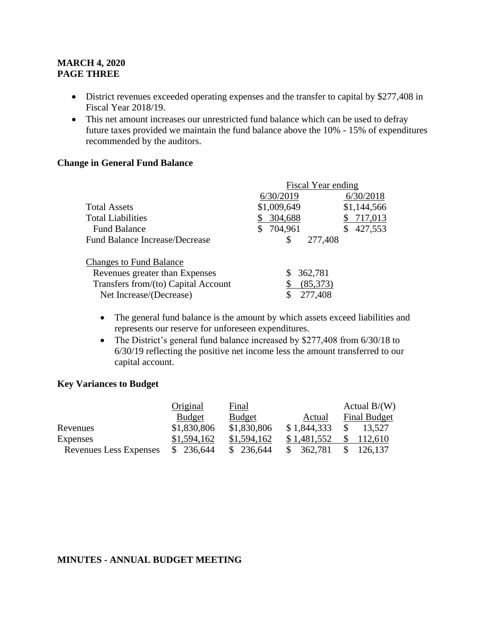## **MARCH 4, 2020 PAGE THREE**

- District revenues exceeded operating expenses and the transfer to capital by \$277,408 in Fiscal Year 2018/19.
- This net amount increases our unrestricted fund balance which can be used to defray future taxes provided we maintain the fund balance above the 10% - 15% of expenditures recommended by the auditors.

#### **Change in General Fund Balance**

|                                       | <b>Fiscal Year ending</b> |             |
|---------------------------------------|---------------------------|-------------|
|                                       | 6/30/2019                 | 6/30/2018   |
| <b>Total Assets</b>                   | \$1,009,649               | \$1,144,566 |
| <b>Total Liabilities</b>              | 304,688                   | 717,013     |
| <b>Fund Balance</b>                   | 704,961<br>S              | 427,553     |
| <b>Fund Balance Increase/Decrease</b> | 277,408<br>\$.            |             |
| <b>Changes to Fund Balance</b>        |                           |             |
| Revenues greater than Expenses        | 362,781                   |             |
| Transfers from/(to) Capital Account   | (85,373)                  |             |
| Net Increase/(Decrease)               | 277,408                   |             |

- The general fund balance is the amount by which assets exceed liabilities and represents our reserve for unforeseen expenditures.
- The District's general fund balance increased by \$277,408 from 6/30/18 to 6/30/19 reflecting the positive net income less the amount transferred to our capital account.

#### **Key Variances to Budget**

|                        | Original      | Final         |               | Actual $B/(W)$         |
|------------------------|---------------|---------------|---------------|------------------------|
|                        | <b>Budget</b> | <b>Budget</b> | Actual        | <b>Final Budget</b>    |
| Revenues               | \$1,830,806   | \$1,830,806   | \$1,844,333   | <sup>S</sup><br>13,527 |
| Expenses               | \$1,594,162   | \$1,594,162   | \$1,481,552   | \$112,610              |
| Revenues Less Expenses | \$236,644     | \$236,644     | 362,781<br>S. | \$126,137              |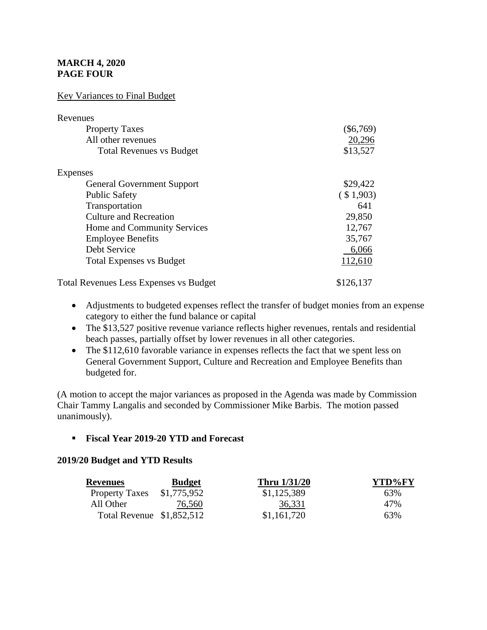# **MARCH 4, 2020 PAGE FOUR**

### Key Variances to Final Budget

| Revenues                                      |             |
|-----------------------------------------------|-------------|
| <b>Property Taxes</b>                         | $(\$6,769)$ |
| All other revenues                            | 20,296      |
| <b>Total Revenues vs Budget</b>               | \$13,527    |
| Expenses                                      |             |
| <b>General Government Support</b>             | \$29,422    |
| <b>Public Safety</b>                          | (\$1,903)   |
| Transportation                                | 641         |
| <b>Culture and Recreation</b>                 | 29,850      |
| Home and Community Services                   | 12,767      |
| <b>Employee Benefits</b>                      | 35,767      |
| Debt Service                                  | 6,066       |
| <b>Total Expenses vs Budget</b>               | 112,610     |
| <b>Total Revenues Less Expenses vs Budget</b> | \$126,137   |

- Adjustments to budgeted expenses reflect the transfer of budget monies from an expense category to either the fund balance or capital
- The \$13,527 positive revenue variance reflects higher revenues, rentals and residential beach passes, partially offset by lower revenues in all other categories.
- The \$112,610 favorable variance in expenses reflects the fact that we spent less on General Government Support, Culture and Recreation and Employee Benefits than budgeted for.

(A motion to accept the major variances as proposed in the Agenda was made by Commission Chair Tammy Langalis and seconded by Commissioner Mike Barbis. The motion passed unanimously).

### ▪ **Fiscal Year 2019-20 YTD and Forecast**

### **2019/20 Budget and YTD Results**

| <b>Revenues</b>           | <b>Budget</b> | <b>Thru 1/31/20</b> | YTD%FY |
|---------------------------|---------------|---------------------|--------|
| <b>Property Taxes</b>     | \$1,775,952   | \$1,125,389         | 63%    |
| All Other                 | 76,560        | 36,331              | 47%    |
| Total Revenue \$1,852,512 |               | \$1,161,720         | 63%    |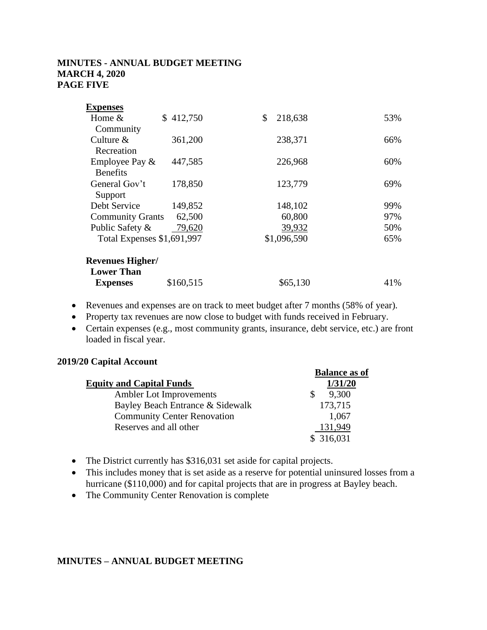## **MINUTES - ANNUAL BUDGET MEETING MARCH 4, 2020 PAGE FIVE**

| <b>Expenses</b>            |           |               |     |
|----------------------------|-----------|---------------|-----|
| Home $&$                   | \$412,750 | 218,638<br>\$ | 53% |
| Community                  |           |               |     |
| Culture $&$                | 361,200   | 238,371       | 66% |
| Recreation                 |           |               |     |
| Employee Pay &             | 447,585   | 226,968       | 60% |
| <b>Benefits</b>            |           |               |     |
| General Gov't              | 178,850   | 123,779       | 69% |
| Support                    |           |               |     |
| Debt Service               | 149,852   | 148,102       | 99% |
| <b>Community Grants</b>    | 62,500    | 60,800        | 97% |
| Public Safety &            | 79,620    | 39,932        | 50% |
| Total Expenses \$1,691,997 |           | \$1,096,590   | 65% |
| <b>Revenues Higher/</b>    |           |               |     |
| <b>Lower Than</b>          |           |               |     |
| <b>Expenses</b>            | \$160,515 | \$65,130      | 41% |
|                            |           |               |     |

- Revenues and expenses are on track to meet budget after 7 months (58% of year).
- Property tax revenues are now close to budget with funds received in February.
- Certain expenses (e.g., most community grants, insurance, debt service, etc.) are front loaded in fiscal year.

### **2019/20 Capital Account**

|                                    | <b>Balance as of</b> |
|------------------------------------|----------------------|
| <b>Equity and Capital Funds</b>    | 1/31/20              |
| Ambler Lot Improvements            | 9,300                |
| Bayley Beach Entrance & Sidewalk   | 173,715              |
| <b>Community Center Renovation</b> | 1,067                |
| Reserves and all other             | 131,949              |
|                                    | \$316,031            |

- The District currently has \$316,031 set aside for capital projects.
- This includes money that is set aside as a reserve for potential uninsured losses from a hurricane (\$110,000) and for capital projects that are in progress at Bayley beach.
- The Community Center Renovation is complete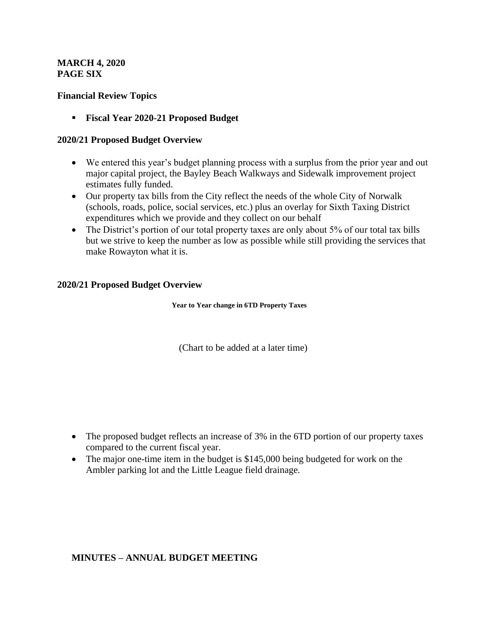## **MARCH 4, 2020 PAGE SIX**

### **Financial Review Topics**

▪ **Fiscal Year 2020-21 Proposed Budget**

### **2020/21 Proposed Budget Overview**

- We entered this year's budget planning process with a surplus from the prior year and out major capital project, the Bayley Beach Walkways and Sidewalk improvement project estimates fully funded.
- Our property tax bills from the City reflect the needs of the whole City of Norwalk (schools, roads, police, social services, etc.) plus an overlay for Sixth Taxing District expenditures which we provide and they collect on our behalf
- The District's portion of our total property taxes are only about 5% of our total tax bills but we strive to keep the number as low as possible while still providing the services that make Rowayton what it is.

## **2020/21 Proposed Budget Overview**

**Year to Year change in 6TD Property Taxes**

(Chart to be added at a later time)

- The proposed budget reflects an increase of 3% in the 6TD portion of our property taxes compared to the current fiscal year.
- The major one-time item in the budget is \$145,000 being budgeted for work on the Ambler parking lot and the Little League field drainage.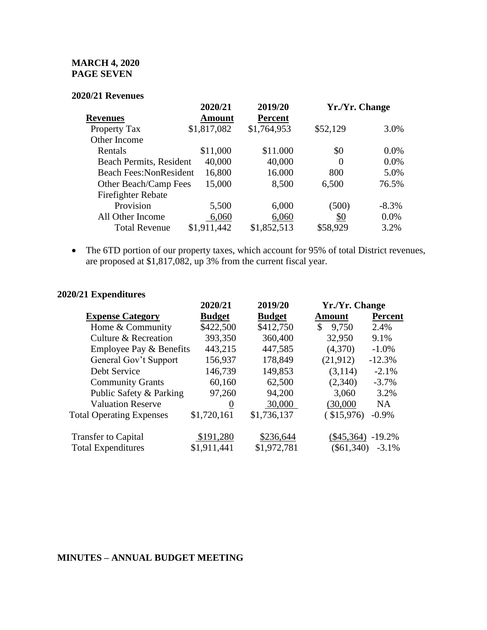# **MARCH 4, 2020 PAGE SEVEN**

#### **2020/21 Revenues**

| 2020/21  | 2019/20                    |          |                |
|----------|----------------------------|----------|----------------|
| Amount   | <b>Percent</b>             |          |                |
|          | \$1,764,953                | \$52,129 | 3.0%           |
|          |                            |          |                |
| \$11,000 | \$11.000                   | \$0      | $0.0\%$        |
| 40,000   | 40,000                     | $\theta$ | $0.0\%$        |
| 16,800   | 16.000                     | 800      | 5.0%           |
| 15,000   | 8,500                      | 6,500    | 76.5%          |
|          |                            |          |                |
| 5,500    | 6,000                      | (500)    | $-8.3\%$       |
| 6,060    | 6,060                      | \$0      | 0.0%           |
|          | \$1,852,513                | \$58,929 | 3.2%           |
|          | \$1,817,082<br>\$1,911,442 |          | Yr./Yr. Change |

• The 6TD portion of our property taxes, which account for 95% of total District revenues, are proposed at \$1,817,082, up 3% from the current fiscal year.

# **2020/21 Expenditures**

| 2020/21          | 2019/20       |               |                                                |
|------------------|---------------|---------------|------------------------------------------------|
| <b>Budget</b>    | <b>Budget</b> | <b>Amount</b> | <b>Percent</b>                                 |
| \$422,500        | \$412,750     | 9,750<br>\$   | 2.4%                                           |
| 393,350          | 360,400       | 32,950        | 9.1%                                           |
| 443,215          | 447,585       | (4,370)       | $-1.0%$                                        |
| 156,937          | 178,849       | (21,912)      | $-12.3%$                                       |
| 146,739          | 149,853       | (3,114)       | $-2.1%$                                        |
| 60,160           | 62,500        | (2,340)       | $-3.7%$                                        |
| 97,260           | 94,200        | 3,060         | 3.2%                                           |
| $\boldsymbol{0}$ | 30,000        | (30,000)      | <b>NA</b>                                      |
| \$1,720,161      | \$1,736,137   | $($ \$15,976) | $-0.9\%$                                       |
| \$191,280        | \$236,644     |               | $-19.2\%$                                      |
| \$1,911,441      | \$1,972,781   |               | $-3.1%$                                        |
|                  |               |               | Yr./Yr. Change<br>$(\$45,364)$<br>$(\$61,340)$ |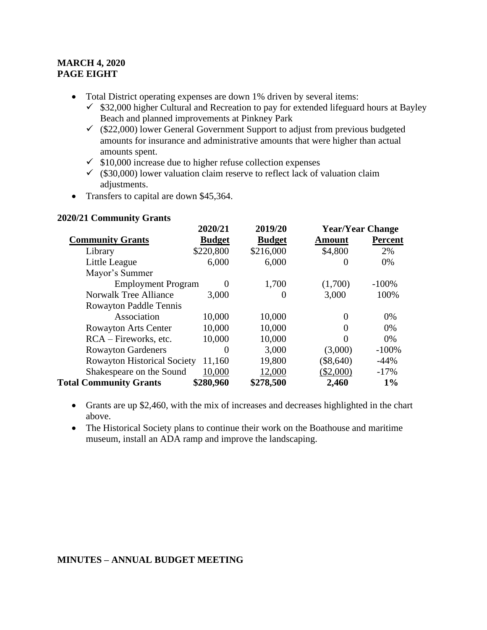# **MARCH 4, 2020 PAGE EIGHT**

- Total District operating expenses are down 1% driven by several items:
	- $\checkmark$  \$32,000 higher Cultural and Recreation to pay for extended lifeguard hours at Bayley Beach and planned improvements at Pinkney Park
	- $\checkmark$  (\$22,000) lower General Government Support to adjust from previous budgeted amounts for insurance and administrative amounts that were higher than actual amounts spent.
	- $\checkmark$  \$10,000 increase due to higher refuse collection expenses
	- $\checkmark$  (\$30,000) lower valuation claim reserve to reflect lack of valuation claim adjustments.
- Transfers to capital are down \$45,364.

### **2020/21 Community Grants**

|                                    | 2020/21       | 2019/20       | <b>Year/Year Change</b> |                |
|------------------------------------|---------------|---------------|-------------------------|----------------|
| <b>Community Grants</b>            | <b>Budget</b> | <b>Budget</b> | <b>Amount</b>           | <b>Percent</b> |
| Library                            | \$220,800     | \$216,000     | \$4,800                 | 2%             |
| Little League                      | 6,000         | 6,000         | $\theta$                | 0%             |
| Mayor's Summer                     |               |               |                         |                |
| <b>Employment Program</b>          | 0             | 1,700         | (1,700)                 | $-100%$        |
| <b>Norwalk Tree Alliance</b>       | 3,000         | 0             | 3,000                   | 100%           |
| <b>Rowayton Paddle Tennis</b>      |               |               |                         |                |
| Association                        | 10,000        | 10,000        | $\Omega$                | 0%             |
| <b>Rowayton Arts Center</b>        | 10,000        | 10,000        | $\theta$                | 0%             |
| RCA – Fireworks, etc.              | 10,000        | 10,000        | $\Omega$                | 0%             |
| <b>Rowayton Gardeners</b>          | $\theta$      | 3,000         | (3,000)                 | $-100%$        |
| <b>Rowayton Historical Society</b> | 11,160        | 19,800        | $(\$8,640)$             | $-44%$         |
| Shakespeare on the Sound           | 10,000        | 12,000        | $(\$2,000)$             | $-17%$         |
| <b>Total Community Grants</b>      | \$280,960     | \$278,500     | 2,460                   | $1\%$          |

- Grants are up \$2,460, with the mix of increases and decreases highlighted in the chart above.
- The Historical Society plans to continue their work on the Boathouse and maritime museum, install an ADA ramp and improve the landscaping.